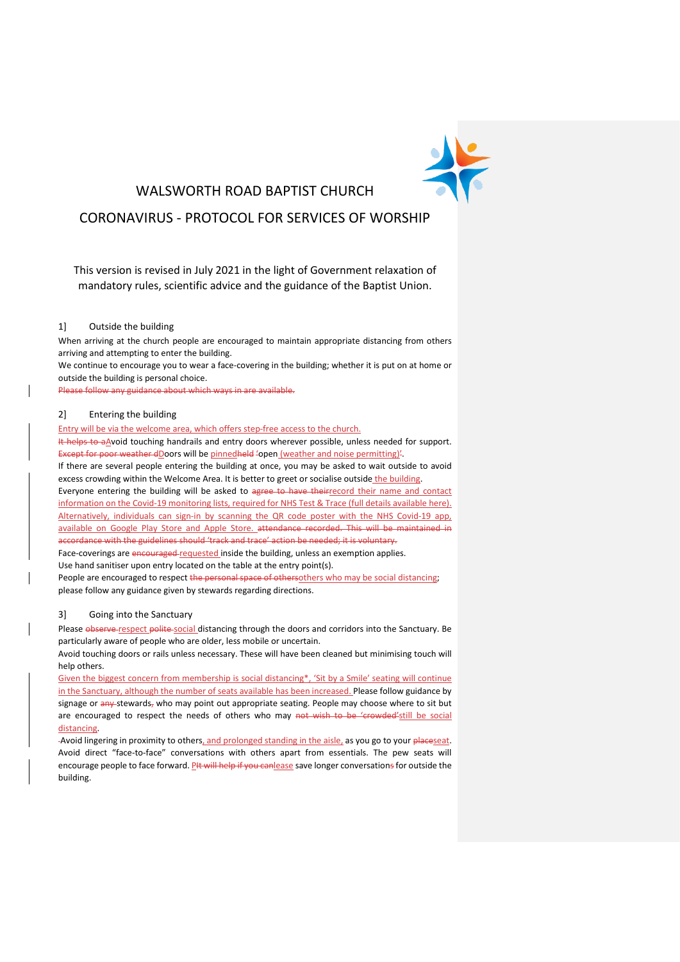

## WALSWORTH ROAD BAPTIST CHURCH

# CORONAVIRUS - PROTOCOL FOR SERVICES OF WORSHIP

This version is revised in July 2021 in the light of Government relaxation of mandatory rules, scientific advice and the guidance of the Baptist Union.

#### 1] Outside the building

When arriving at the church people are encouraged to maintain appropriate distancing from others arriving and attempting to enter the building. We continue to encourage you to wear a face-covering in the building; whether it is put on at home or

outside the building is personal choice.

Please follow any guidance about which ways in are available.

### 2] Entering the building

Entry will be via the welcome area, which offers step-free access to the church.

It helps to aAvoid touching handrails and entry doors wherever possible, unless needed for support. Except for poor weather dDoors will be pinnedheld 'open (weather and noise permitting)'.

If there are several people entering the building at once, you may be asked to wait outside to avoid excess crowding within the Welcome Area. It is better to greet or socialise outside the building.

Everyone entering the building will be asked to agree to have theirrecord their name and contact information on the Covid-19 monitoring lists, required for NHS Test & Trace [\(full details available here\)](https://3a78d60d-e5e5-44a3-9197-d28ee5ff9cfd.filesusr.com/ugd/377e1c_8eef5d57d9704477bb7505370980d9b5.pdf). Alternatively, individuals can sign-in by scanning the QR code poster with the NHS Covid-19 app, available on Google Play Store and Apple Store. attendance recorded. This will be maintained in accordance with the guidelines should 'track and trace' action be needed; it is voluntary.

Face-coverings are encouraged-requested inside the building, unless an exemption applies. Use hand sanitiser upon entry located on the table at the entry point(s).

People are encouraged to respect the personal space of othersothers who may be social distancing; please follow any guidance given by stewards regarding directions.

#### 3] Going into the Sanctuary

Please observe respect polite-social distancing through the doors and corridors into the Sanctuary. Be particularly aware of people who are older, less mobile or uncertain.

Avoid touching doors or rails unless necessary. These will have been cleaned but minimising touch will help others.

Given the biggest concern from membership is social distancing\*, 'Sit by a Smile' seating will continue in the Sanctuary, although the number of seats available has been increased. Please follow guidance by signage or any stewards, who may point out appropriate seating. People may choose where to sit but are encouraged to respect the needs of others who may not wish to be 'crowded'still be social distancing.

-Avoid lingering in proximity to others, and prolonged standing in the aisle, as you go to your placeseat. Avoid direct "face-to-face" conversations with others apart from essentials. The pew seats will encourage people to face forward. PHt will help if you can lease save longer conversations for outside the building.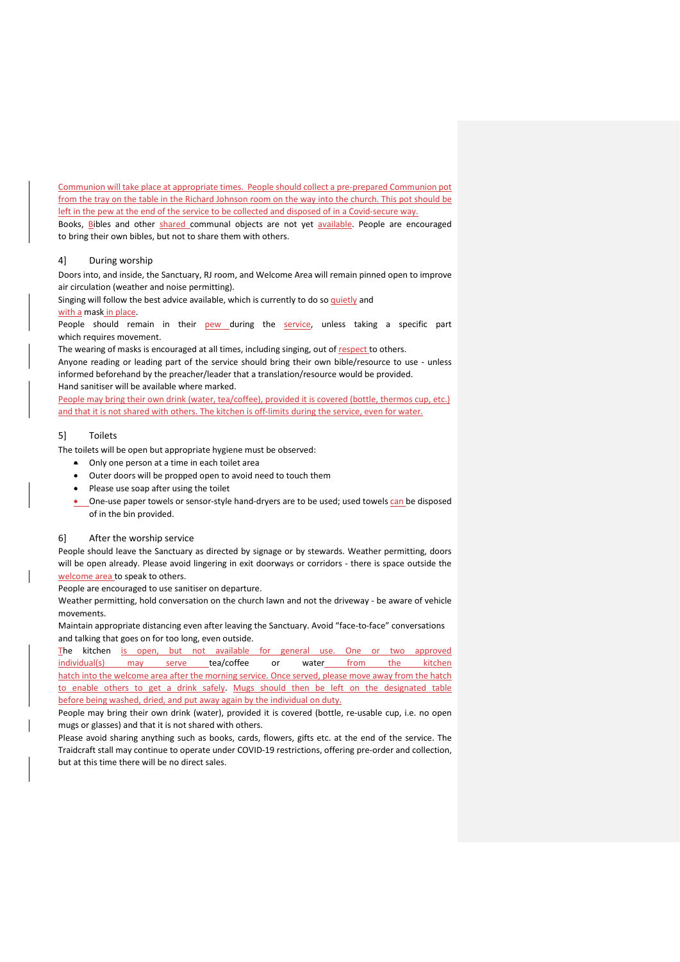Communion will take place at appropriate times. People should collect a pre-prepared Communion pot from the tray on the table in the Richard Johnson room on the way into the church. This pot should be left in the pew at the end of the service to be collected and disposed of in a Covid-secure way.

Books, Bibles and other shared communal objects are not yet available. People are encouraged to bring their own bibles, but not to share them with others.

#### 4] During worship

Doors into, and inside, the Sanctuary, RJ room, and Welcome Area will remain pinned open to improve air circulation (weather and noise permitting).

Singing will follow the best advice available, which is currently to do so quietly and with a mask in place.

People should remain in their **pew** during the **service**, unless taking a specific part which requires movement.

The wearing of masks is encouraged at all times, including singing, out of respect to others. Anyone reading or leading part of the service should bring their own bible/resource to use - unless informed beforehand by the preacher/leader that a translation/resource would be provided.

Hand sanitiser will be available where marked.

People may bring their own drink (water, tea/coffee), provided it is covered (bottle, thermos cup, etc.) and that it is not shared with others. The kitchen is off-limits during the service, even for water.

#### 5] Toilets

The toilets will be open but appropriate hygiene must be observed:

- Only one person at a time in each toilet area
- Outer doors will be propped open to avoid need to touch them
- Please use soap after using the toilet
- One-use paper towels or sensor-style hand-dryers are to be used; used towels can be disposed of in the bin provided.

#### 6] After the worship service

People should leave the Sanctuary as directed by signage or by stewards. Weather permitting, doors will be open already. Please avoid lingering in exit doorways or corridors - there is space outside the welcome area to speak to others.

People are encouraged to use sanitiser on departure.

Weather permitting, hold conversation on the church lawn and not the driveway - be aware of vehicle movements.

Maintain appropriate distancing even after leaving the Sanctuary. Avoid "face-to-face" conversations and talking that goes on for too long, even outside.

The kitchen is open, but not available for general use. One or two approved individual(s) may serve tea/coffee or water from the kitchen hatch into the welcome area after the morning service. Once served, please move away from the hatch to enable others to get a drink safely. Mugs should then be left on the designated table before being washed, dried, and put away again by the individual on duty.

People may bring their own drink (water), provided it is covered (bottle, re-usable cup, i.e. no open mugs or glasses) and that it is not shared with others.

Please avoid sharing anything such as books, cards, flowers, gifts etc. at the end of the service. The Traidcraft stall may continue to operate under COVID-19 restrictions, offering pre-order and collection, but at this time there will be no direct sales.